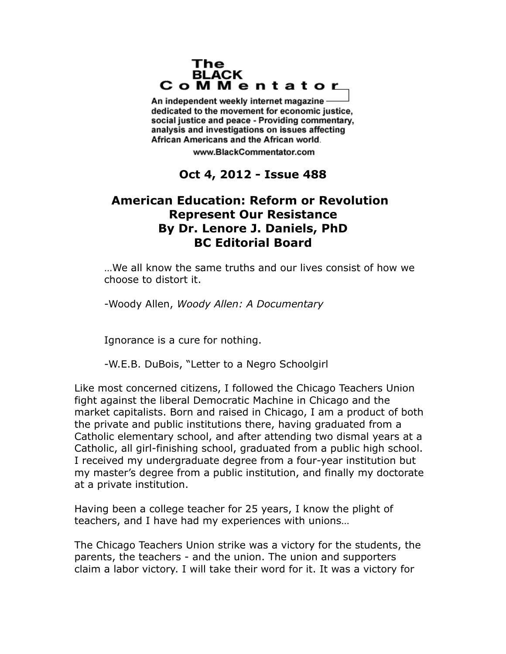## The **BLACK** CoMMentator

An independent weekly internet magazine dedicated to the movement for economic justice. social justice and peace - Providing commentary, analysis and investigations on issues affecting African Americans and the African world.

www.BlackCommentator.com

## **Oct 4, 2012 - Issue 488**

## **American Education: Reform or Revolution Represent Our Resistance By Dr. Lenore J. Daniels, PhD BC Editorial Board**

…We all know the same truths and our lives consist of how we choose to distort it.

-Woody Allen, *Woody Allen: A Documentary*

Ignorance is a cure for nothing.

-W.E.B. DuBois, "Letter to a Negro Schoolgirl

Like most concerned citizens, I followed the Chicago Teachers Union fight against the liberal Democratic Machine in Chicago and the market capitalists. Born and raised in Chicago, I am a product of both the private and public institutions there, having graduated from a Catholic elementary school, and after attending two dismal years at a Catholic, all girl-finishing school, graduated from a public high school. I received my undergraduate degree from a four-year institution but my master's degree from a public institution, and finally my doctorate at a private institution.

Having been a college teacher for 25 years, I know the plight of teachers, and I have had my experiences with unions…

The Chicago Teachers Union strike was a victory for the students, the parents, the teachers - and the union. The union and supporters claim a labor victory. I will take their word for it. It was a victory for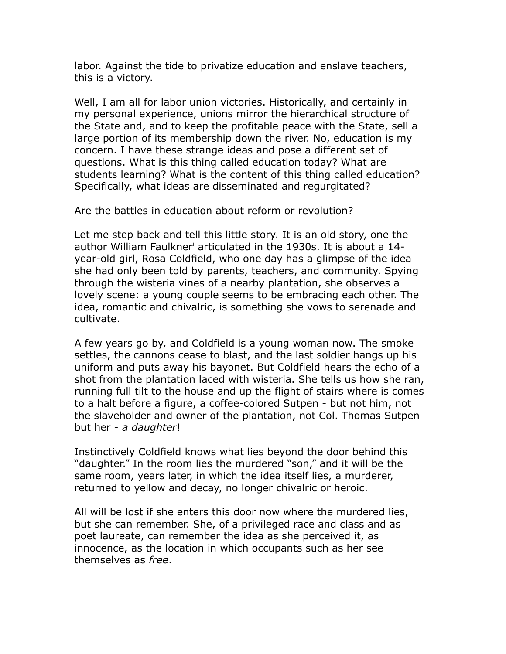labor. Against the tide to privatize education and enslave teachers, this is a victory.

Well, I am all for labor union victories. Historically, and certainly in my personal experience, unions mirror the hierarchical structure of the State and, and to keep the profitable peace with the State, sell a large portion of its membership down the river. No, education is my concern. I have these strange ideas and pose a different set of questions. What is this thing called education today? What are students learning? What is the content of this thing called education? Specifically, what ideas are disseminated and regurgitated?

Are the battles in education about reform or revolution?

Let me step back and tell this little story. It is an old story, one the author W[i](#page-10-0)lliam Faulkner<sup>i</sup> articulated in the 1930s. It is about a 14year-old girl, Rosa Coldfield, who one day has a glimpse of the idea she had only been told by parents, teachers, and community. Spying through the wisteria vines of a nearby plantation, she observes a lovely scene: a young couple seems to be embracing each other. The idea, romantic and chivalric, is something she vows to serenade and cultivate.

A few years go by, and Coldfield is a young woman now. The smoke settles, the cannons cease to blast, and the last soldier hangs up his uniform and puts away his bayonet. But Coldfield hears the echo of a shot from the plantation laced with wisteria. She tells us how she ran, running full tilt to the house and up the flight of stairs where is comes to a halt before a figure, a coffee-colored Sutpen - but not him, not the slaveholder and owner of the plantation, not Col. Thomas Sutpen but her - *a daughter*!

Instinctively Coldfield knows what lies beyond the door behind this "daughter." In the room lies the murdered "son," and it will be the same room, years later, in which the idea itself lies, a murderer, returned to yellow and decay, no longer chivalric or heroic.

All will be lost if she enters this door now where the murdered lies, but she can remember. She, of a privileged race and class and as poet laureate, can remember the idea as she perceived it, as innocence, as the location in which occupants such as her see themselves as *free*.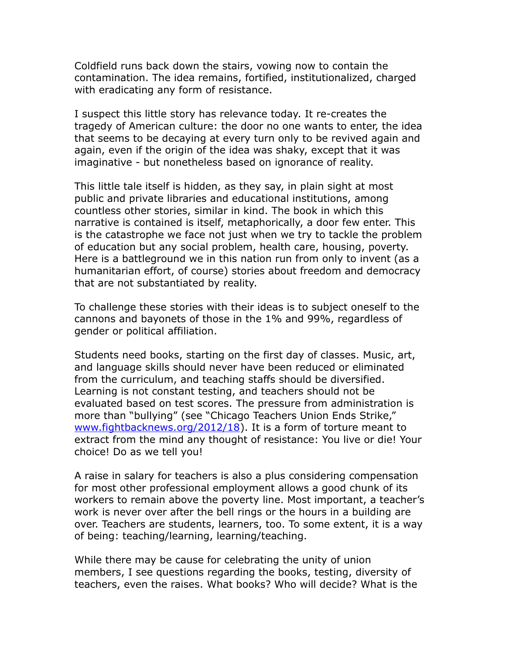Coldfield runs back down the stairs, vowing now to contain the contamination. The idea remains, fortified, institutionalized, charged with eradicating any form of resistance.

I suspect this little story has relevance today. It re-creates the tragedy of American culture: the door no one wants to enter, the idea that seems to be decaying at every turn only to be revived again and again, even if the origin of the idea was shaky, except that it was imaginative - but nonetheless based on ignorance of reality.

This little tale itself is hidden, as they say, in plain sight at most public and private libraries and educational institutions, among countless other stories, similar in kind. The book in which this narrative is contained is itself, metaphorically, a door few enter. This is the catastrophe we face not just when we try to tackle the problem of education but any social problem, health care, housing, poverty. Here is a battleground we in this nation run from only to invent (as a humanitarian effort, of course) stories about freedom and democracy that are not substantiated by reality.

To challenge these stories with their ideas is to subject oneself to the cannons and bayonets of those in the 1% and 99%, regardless of gender or political affiliation.

Students need books, starting on the first day of classes. Music, art, and language skills should never have been reduced or eliminated from the curriculum, and teaching staffs should be diversified. Learning is not constant testing, and teachers should not be evaluated based on test scores. The pressure from administration is more than "bullying" (see "Chicago Teachers Union Ends Strike," [www.fightbacknews.org/2012/18\)](http://www.fightbacknews.org/2012/18). It is a form of torture meant to extract from the mind any thought of resistance: You live or die! Your choice! Do as we tell you!

A raise in salary for teachers is also a plus considering compensation for most other professional employment allows a good chunk of its workers to remain above the poverty line. Most important, a teacher's work is never over after the bell rings or the hours in a building are over. Teachers are students, learners, too. To some extent, it is a way of being: teaching/learning, learning/teaching.

While there may be cause for celebrating the unity of union members, I see questions regarding the books, testing, diversity of teachers, even the raises. What books? Who will decide? What is the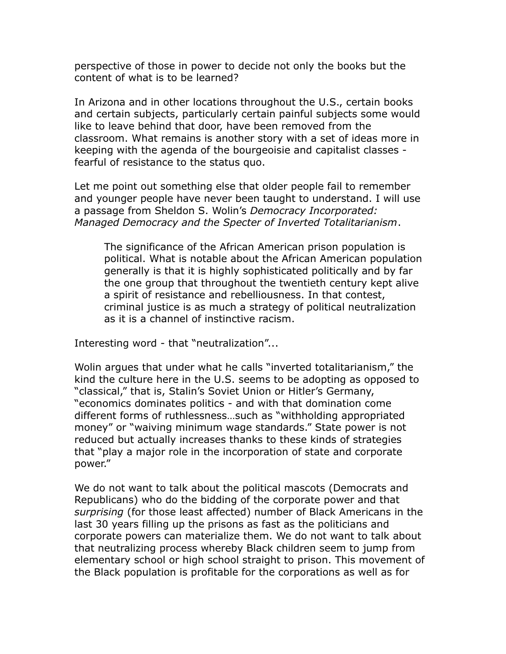perspective of those in power to decide not only the books but the content of what is to be learned?

In Arizona and in other locations throughout the U.S., certain books and certain subjects, particularly certain painful subjects some would like to leave behind that door, have been removed from the classroom. What remains is another story with a set of ideas more in keeping with the agenda of the bourgeoisie and capitalist classes fearful of resistance to the status quo.

Let me point out something else that older people fail to remember and younger people have never been taught to understand. I will use a passage from Sheldon S. Wolin's *Democracy Incorporated: Managed Democracy and the Specter of Inverted Totalitarianism*.

The significance of the African American prison population is political. What is notable about the African American population generally is that it is highly sophisticated politically and by far the one group that throughout the twentieth century kept alive a spirit of resistance and rebelliousness. In that contest, criminal justice is as much a strategy of political neutralization as it is a channel of instinctive racism.

Interesting word - that "neutralization"...

Wolin argues that under what he calls "inverted totalitarianism," the kind the culture here in the U.S. seems to be adopting as opposed to "classical," that is, Stalin's Soviet Union or Hitler's Germany, "economics dominates politics - and with that domination come different forms of ruthlessness…such as "withholding appropriated money" or "waiving minimum wage standards." State power is not reduced but actually increases thanks to these kinds of strategies that "play a major role in the incorporation of state and corporate power."

We do not want to talk about the political mascots (Democrats and Republicans) who do the bidding of the corporate power and that *surprising* (for those least affected) number of Black Americans in the last 30 years filling up the prisons as fast as the politicians and corporate powers can materialize them. We do not want to talk about that neutralizing process whereby Black children seem to jump from elementary school or high school straight to prison. This movement of the Black population is profitable for the corporations as well as for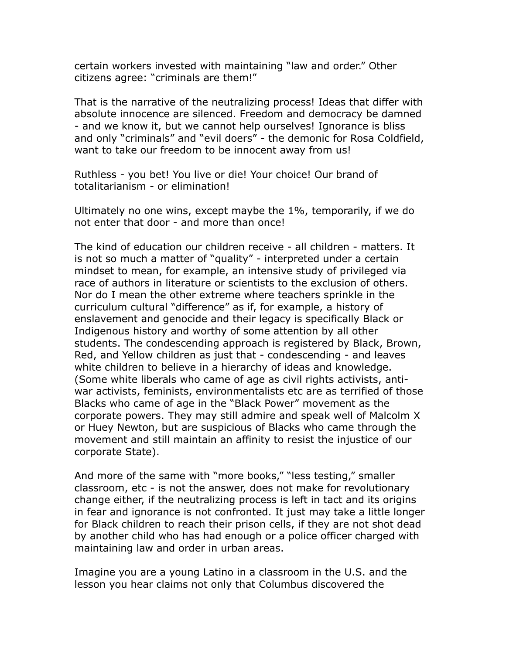certain workers invested with maintaining "law and order." Other citizens agree: "criminals are them!"

That is the narrative of the neutralizing process! Ideas that differ with absolute innocence are silenced. Freedom and democracy be damned - and we know it, but we cannot help ourselves! Ignorance is bliss and only "criminals" and "evil doers" - the demonic for Rosa Coldfield, want to take our freedom to be innocent away from us!

Ruthless - you bet! You live or die! Your choice! Our brand of totalitarianism - or elimination!

Ultimately no one wins, except maybe the 1%, temporarily, if we do not enter that door - and more than once!

The kind of education our children receive - all children - matters. It is not so much a matter of "quality" - interpreted under a certain mindset to mean, for example, an intensive study of privileged via race of authors in literature or scientists to the exclusion of others. Nor do I mean the other extreme where teachers sprinkle in the curriculum cultural "difference" as if, for example, a history of enslavement and genocide and their legacy is specifically Black or Indigenous history and worthy of some attention by all other students. The condescending approach is registered by Black, Brown, Red, and Yellow children as just that - condescending - and leaves white children to believe in a hierarchy of ideas and knowledge. (Some white liberals who came of age as civil rights activists, antiwar activists, feminists, environmentalists etc are as terrified of those Blacks who came of age in the "Black Power" movement as the corporate powers. They may still admire and speak well of Malcolm X or Huey Newton, but are suspicious of Blacks who came through the movement and still maintain an affinity to resist the injustice of our corporate State).

And more of the same with "more books," "less testing," smaller classroom, etc - is not the answer, does not make for revolutionary change either, if the neutralizing process is left in tact and its origins in fear and ignorance is not confronted. It just may take a little longer for Black children to reach their prison cells, if they are not shot dead by another child who has had enough or a police officer charged with maintaining law and order in urban areas.

Imagine you are a young Latino in a classroom in the U.S. and the lesson you hear claims not only that Columbus discovered the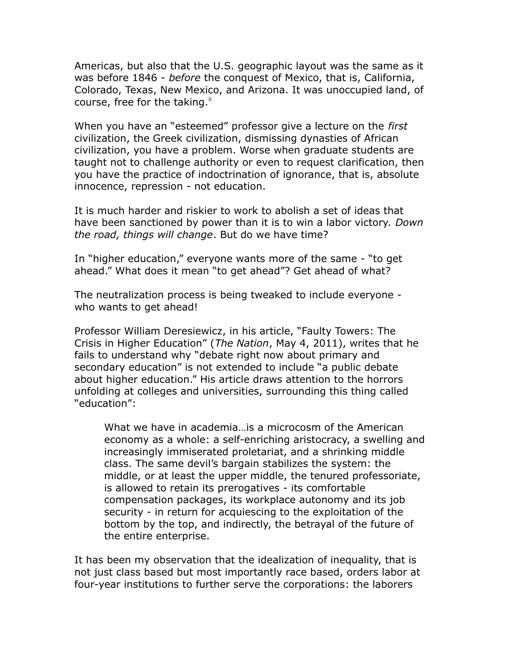Americas, but also that the U.S. geographic layout was the same as it was before 1846 - *before* the conquest of Mexico, that is, California, Colorado, Texas, New Mexico, and Arizona. It was unoccupied land, of course, free for the taking. $\mathbf{u}$ 

When you have an "esteemed" professor give a lecture on the *first* civilization, the Greek civilization, dismissing dynasties of African civilization, you have a problem. Worse when graduate students are taught not to challenge authority or even to request clarification, then you have the practice of indoctrination of ignorance, that is, absolute innocence, repression - not education.

It is much harder and riskier to work to abolish a set of ideas that have been sanctioned by power than it is to win a labor victory. *Down the road, things will change*. But do we have time?

In "higher education," everyone wants more of the same - "to get ahead." What does it mean "to get ahead"? Get ahead of what?

The neutralization process is being tweaked to include everyone who wants to get ahead!

Professor William Deresiewicz, in his article, "Faulty Towers: The Crisis in Higher Education" (*The Nation*, May 4, 2011), writes that he fails to understand why "debate right now about primary and secondary education" is not extended to include "a public debate about higher education." His article draws attention to the horrors unfolding at colleges and universities, surrounding this thing called "education":

What we have in academia…is a microcosm of the American economy as a whole: a self-enriching aristocracy, a swelling and increasingly immiserated proletariat, and a shrinking middle class. The same devil's bargain stabilizes the system: the middle, or at least the upper middle, the tenured professoriate, is allowed to retain its prerogatives - its comfortable compensation packages, its workplace autonomy and its job security - in return for acquiescing to the exploitation of the bottom by the top, and indirectly, the betrayal of the future of the entire enterprise.

It has been my observation that the idealization of inequality, that is not just class based but most importantly race based, orders labor at four-year institutions to further serve the corporations: the laborers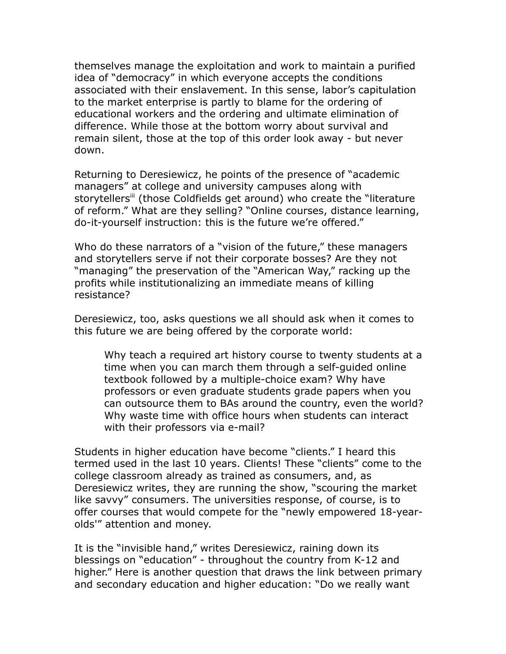themselves manage the exploitation and work to maintain a purified idea of "democracy" in which everyone accepts the conditions associated with their enslavement. In this sense, labor's capitulation to the market enterprise is partly to blame for the ordering of educational workers and the ordering and ultimate elimination of difference. While those at the bottom worry about survival and remain silent, those at the top of this order look away - but never down.

Returning to Deresiewicz, he points of the presence of "academic managers" at college and university campuses along with storytellers<sup>[iii](#page-10-2)</sup> (those Coldfields get around) who create the "literature of reform." What are they selling? "Online courses, distance learning, do-it-yourself instruction: this is the future we're offered."

Who do these narrators of a "vision of the future," these managers and storytellers serve if not their corporate bosses? Are they not "managing" the preservation of the "American Way," racking up the profits while institutionalizing an immediate means of killing resistance?

Deresiewicz, too, asks questions we all should ask when it comes to this future we are being offered by the corporate world:

Why teach a required art history course to twenty students at a time when you can march them through a self-guided online textbook followed by a multiple-choice exam? Why have professors or even graduate students grade papers when you can outsource them to BAs around the country, even the world? Why waste time with office hours when students can interact with their professors via e-mail?

Students in higher education have become "clients." I heard this termed used in the last 10 years. Clients! These "clients" come to the college classroom already as trained as consumers, and, as Deresiewicz writes, they are running the show, "scouring the market like savvy" consumers. The universities response, of course, is to offer courses that would compete for the "newly empowered 18-yearolds'" attention and money.

It is the "invisible hand," writes Deresiewicz, raining down its blessings on "education" - throughout the country from K-12 and higher." Here is another question that draws the link between primary and secondary education and higher education: "Do we really want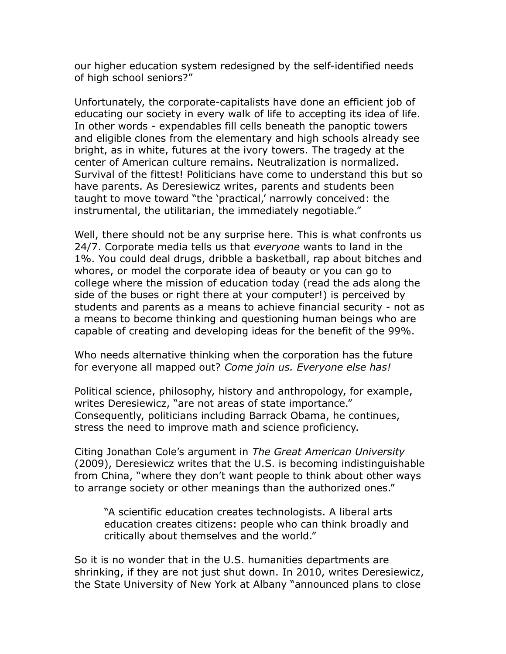our higher education system redesigned by the self-identified needs of high school seniors?"

Unfortunately, the corporate-capitalists have done an efficient job of educating our society in every walk of life to accepting its idea of life. In other words - expendables fill cells beneath the panoptic towers and eligible clones from the elementary and high schools already see bright, as in white, futures at the ivory towers. The tragedy at the center of American culture remains. Neutralization is normalized. Survival of the fittest! Politicians have come to understand this but so have parents. As Deresiewicz writes, parents and students been taught to move toward "the 'practical,' narrowly conceived: the instrumental, the utilitarian, the immediately negotiable."

Well, there should not be any surprise here. This is what confronts us 24/7. Corporate media tells us that *everyone* wants to land in the 1%. You could deal drugs, dribble a basketball, rap about bitches and whores, or model the corporate idea of beauty or you can go to college where the mission of education today (read the ads along the side of the buses or right there at your computer!) is perceived by students and parents as a means to achieve financial security - not as a means to become thinking and questioning human beings who are capable of creating and developing ideas for the benefit of the 99%.

Who needs alternative thinking when the corporation has the future for everyone all mapped out? *Come join us. Everyone else has!*

Political science, philosophy, history and anthropology, for example, writes Deresiewicz, "are not areas of state importance." Consequently, politicians including Barrack Obama, he continues, stress the need to improve math and science proficiency.

Citing Jonathan Cole's argument in *The Great American University* (2009), Deresiewicz writes that the U.S. is becoming indistinguishable from China, "where they don't want people to think about other ways to arrange society or other meanings than the authorized ones."

"A scientific education creates technologists. A liberal arts education creates citizens: people who can think broadly and critically about themselves and the world."

So it is no wonder that in the U.S. humanities departments are shrinking, if they are not just shut down. In 2010, writes Deresiewicz, the State University of New York at Albany "announced plans to close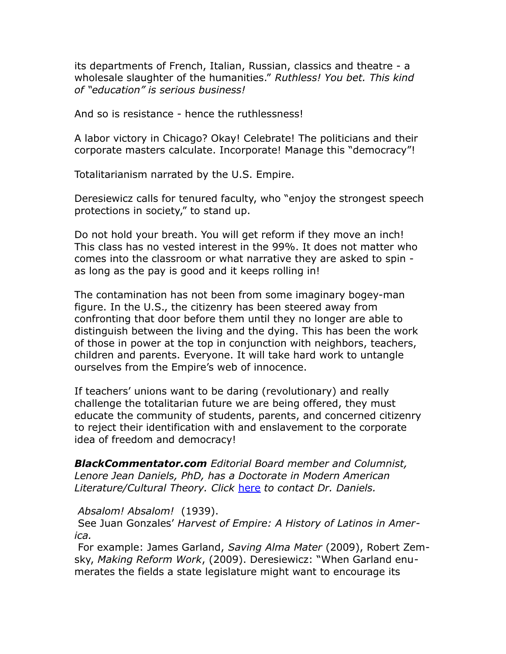its departments of French, Italian, Russian, classics and theatre - a wholesale slaughter of the humanities." *Ruthless! You bet. This kind of "education" is serious business!*

And so is resistance - hence the ruthlessness!

A labor victory in Chicago? Okay! Celebrate! The politicians and their corporate masters calculate. Incorporate! Manage this "democracy"!

Totalitarianism narrated by the U.S. Empire.

Deresiewicz calls for tenured faculty, who "enjoy the strongest speech protections in society," to stand up.

Do not hold your breath. You will get reform if they move an inch! This class has no vested interest in the 99%. It does not matter who comes into the classroom or what narrative they are asked to spin as long as the pay is good and it keeps rolling in!

The contamination has not been from some imaginary bogey-man figure. In the U.S., the citizenry has been steered away from confronting that door before them until they no longer are able to distinguish between the living and the dying. This has been the work of those in power at the top in conjunction with neighbors, teachers, children and parents. Everyone. It will take hard work to untangle ourselves from the Empire's web of innocence.

If teachers' unions want to be daring (revolutionary) and really challenge the totalitarian future we are being offered, they must educate the community of students, parents, and concerned citizenry to reject their identification with and enslavement to the corporate idea of freedom and democracy!

*BlackCommentator.com Editorial Board member and Columnist, Lenore Jean Daniels, PhD, has a Doctorate in Modern American Literature/Cultural Theory. Click* [here](http://www.blackcommentator.com/contact_forms/jean_daniels/gbcf_form.php) *to contact Dr. Daniels.*

*Absalom! Absalom!* (1939).

 See Juan Gonzales' *Harvest of Empire: A History of Latinos in America.*

 For example: James Garland, *Saving Alma Mater* (2009), Robert Zemsky, *Making Reform Work*, (2009). Deresiewicz: "When Garland enumerates the fields a state legislature might want to encourage its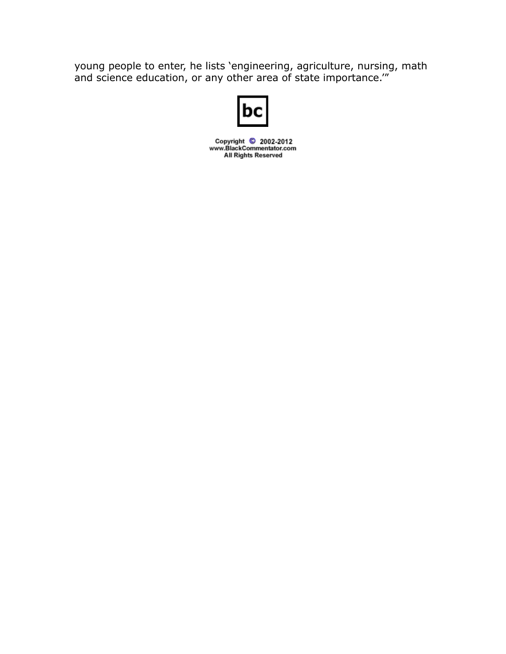young people to enter, he lists 'engineering, agriculture, nursing, math and science education, or any other area of state importance.'"



Copyright © 2002-2012<br>www.BlackCommentator.com **All Rights Reserved**